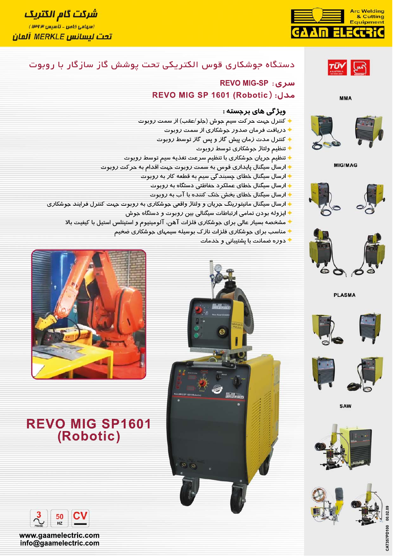

# <mark>شرکت گام الکتریک</mark> (سهامی خاص - تأسیس ۱۳۴۳) <u>تحت لسانس MERKLE آلمان</u>



**MMA** 



**MIG/MAG** 





**PLASMA** 









# دستگاه جوشکاری قوس الکتریکی تحت پوشش گاز سازگار با روبوت

# سری: REVO MIG-SP مدل: REVO MIG SP 1601 (Robotic)

#### ویژ گی های برجسته :

- ◆ كنترل جہت حر كت سيم جوش (جلو /عقب) از سمت روبوت
	- ♦ دریافت فرمان صدور جوشکا*ر*ی ا*ز* سمت *ر*وبوت
	- ♦ كنترل مدت زمان پيش گاز و پس گاز توسط روبوت
		- ♦ تنظيم ولتاثر جوشكاري توسط روبوت
- ♦ تنظیم جریان جوشکاری با تنظیم سرعت تغذیه سیم توسط روبوت
- ارسال سیگنال پایدا*ر*ی قوس به سمت *ر*وبوت جهت اقدام به حر کت *ر*وبوت
	- ♦ ارسال سیگنال خطای چسبند گی سیم به قطعه کا*ر* به *ر*وبوت
		- ♦ ارسال سیگنال خطای عملکرد حفاظتی دستگاه به روبوت
		- ♦ ارسال سیگنال خطای بخش خنک کننده با آب به روبوت
- ♦ ارسال سیگنال مانیتورینگ جریان و ولتاژ واقعی جوشکاری به روبوت جهت کنترل فرایند جوشکا*ر*ی
	- ♦ ایزوله بودن تمامی ارتباطات سیگنالی بین روبوت و دستگاه جوش
	- مشخصه بسیار عالی برای حوشکاری فلزات آهن، آلومینیوم و استینلس استیل با کیفیت بالا
		- مناسب برای جوشکاری فلزات نازک بوسیله سیمهای جوشکاری ضخیم
			- دوره ضمانت با پشتیبانی و خدمات





# **REVO MIG SP1601** (Robotic)



www.gaamelectric.com info@gaamelectric.com